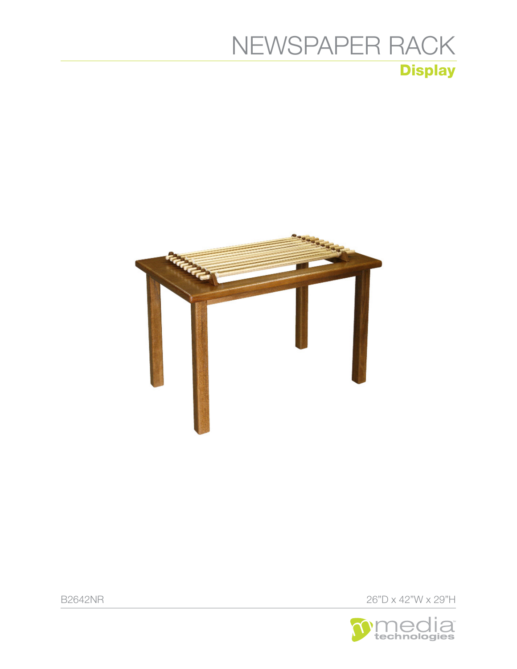## **Display** [NEWSPAPER RACK](https://www.mediatechnologies.com/product/newspaper-rack)



B2642NR 26"D x 42"W x 29"H